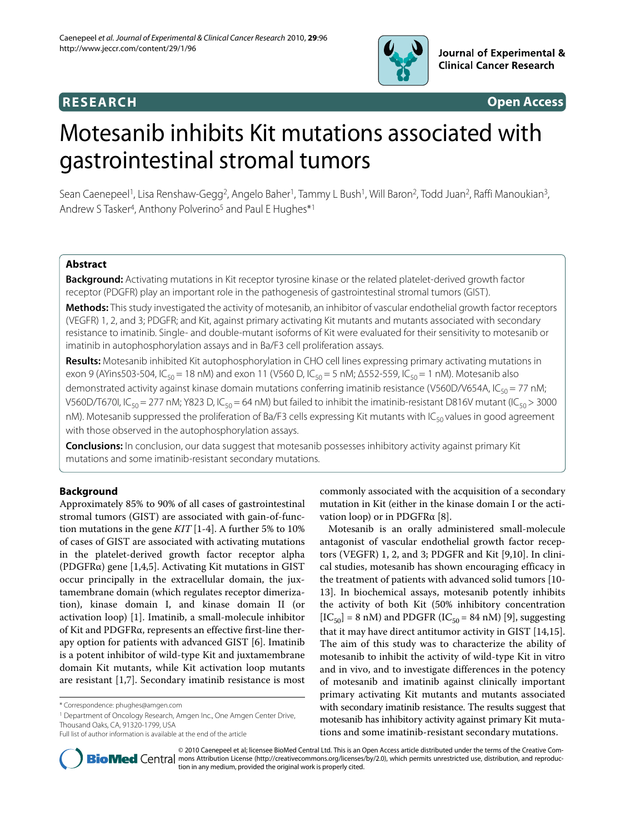

## **RESEARCH Open Access**

# Motesanib inhibits Kit mutations associated with gastrointestinal stromal tumors

Sean Caenepeel<sup>1</sup>, Lisa Renshaw-Gegg<sup>2</sup>, Angelo Baher<sup>1</sup>, Tammy L Bush<sup>1</sup>, Will Baron<sup>2</sup>, Todd Juan<sup>2</sup>, Raffi Manoukian<sup>3</sup>, Andrew S Tasker<sup>4</sup>, Anthony Polverino<sup>5</sup> and Paul E Hughes<sup>\*1</sup>

## **Abstract**

**Background:** Activating mutations in Kit receptor tyrosine kinase or the related platelet-derived growth factor receptor (PDGFR) play an important role in the pathogenesis of gastrointestinal stromal tumors (GIST).

**Methods:** This study investigated the activity of motesanib, an inhibitor of vascular endothelial growth factor receptors (VEGFR) 1, 2, and 3; PDGFR; and Kit, against primary activating Kit mutants and mutants associated with secondary resistance to imatinib. Single- and double-mutant isoforms of Kit were evaluated for their sensitivity to motesanib or imatinib in autophosphorylation assays and in Ba/F3 cell proliferation assays.

**Results:** Motesanib inhibited Kit autophosphorylation in CHO cell lines expressing primary activating mutations in exon 9 (AYins503-504, IC<sub>50</sub> = 18 nM) and exon 11 (V560 D, IC<sub>50</sub> = 5 nM; Δ552-559, IC<sub>50</sub> = 1 nM). Motesanib also demonstrated activity against kinase domain mutations conferring imatinib resistance (V560D/V654A, IC<sub>50</sub> = 77 nM; V560D/T670I, IC<sub>50</sub> = 277 nM; Y823 D, IC<sub>50</sub> = 64 nM) but failed to inhibit the imatinib-resistant D816V mutant (IC<sub>50</sub> > 3000 nM). Motesanib suppressed the proliferation of Ba/F3 cells expressing Kit mutants with IC<sub>50</sub> values in good agreement with those observed in the autophosphorylation assays.

**Conclusions:** In conclusion, our data suggest that motesanib possesses inhibitory activity against primary Kit mutations and some imatinib-resistant secondary mutations.

## **Background**

Approximately 85% to 90% of all cases of gastrointestinal stromal tumors (GIST) are associated with gain-of-function mutations in the gene *KIT* [[1-](#page-6-0)[4](#page-6-1)]. A further 5% to 10% of cases of GIST are associated with activating mutations in the platelet-derived growth factor receptor alpha (PDGFRα) gene [\[1](#page-6-0)[,4](#page-6-1),[5](#page-6-2)]. Activating Kit mutations in GIST occur principally in the extracellular domain, the juxtamembrane domain (which regulates receptor dimerization), kinase domain I, and kinase domain II (or activation loop) [[1](#page-6-0)]. Imatinib, a small-molecule inhibitor of Kit and PDGFRα, represents an effective first-line therapy option for patients with advanced GIST [[6\]](#page-6-3). Imatinib is a potent inhibitor of wild-type Kit and juxtamembrane domain Kit mutants, while Kit activation loop mutants are resistant [\[1](#page-6-0)[,7](#page-6-4)]. Secondary imatinib resistance is most

<sup>1</sup> Department of Oncology Research, Amgen Inc., One Amgen Center Drive, Thousand Oaks, CA, 91320-1799, USA

commonly associated with the acquisition of a secondary mutation in Kit (either in the kinase domain I or the activation loop) or in PDGFRα [\[8](#page-6-5)].

Motesanib is an orally administered small-molecule antagonist of vascular endothelial growth factor receptors (VEGFR) 1, 2, and 3; PDGFR and Kit [[9,](#page-6-6)[10\]](#page-6-7). In clinical studies, motesanib has shown encouraging efficacy in the treatment of patients with advanced solid tumors [\[10](#page-6-7)- [13\]](#page-6-8). In biochemical assays, motesanib potently inhibits the activity of both Kit (50% inhibitory concentration  $[IC_{50}] = 8$  nM) and PDGFR (IC<sub>50</sub> = 84 nM) [\[9\]](#page-6-6), suggesting that it may have direct antitumor activity in GIST [\[14](#page-6-9)[,15](#page-6-10)]. The aim of this study was to characterize the ability of motesanib to inhibit the activity of wild-type Kit in vitro and in vivo, and to investigate differences in the potency of motesanib and imatinib against clinically important primary activating Kit mutants and mutants associated with secondary imatinib resistance. The results suggest that motesanib has inhibitory activity against primary Kit mutations and some imatinib-resistant secondary mutations.



© 2010 Caenepeel et al; licensee BioMed Central Ltd. This is an Open Access article distributed under the terms of the Creative Com-**Bio Med** Central mons Attribution License (http://creativecommons.org/licenses/by/2.0), which permits unrestricted use, distribution, and reproduction in any medium, provided the original work is properly cited.

<sup>\*</sup> Correspondence: phughes@amgen.com

Full list of author information is available at the end of the article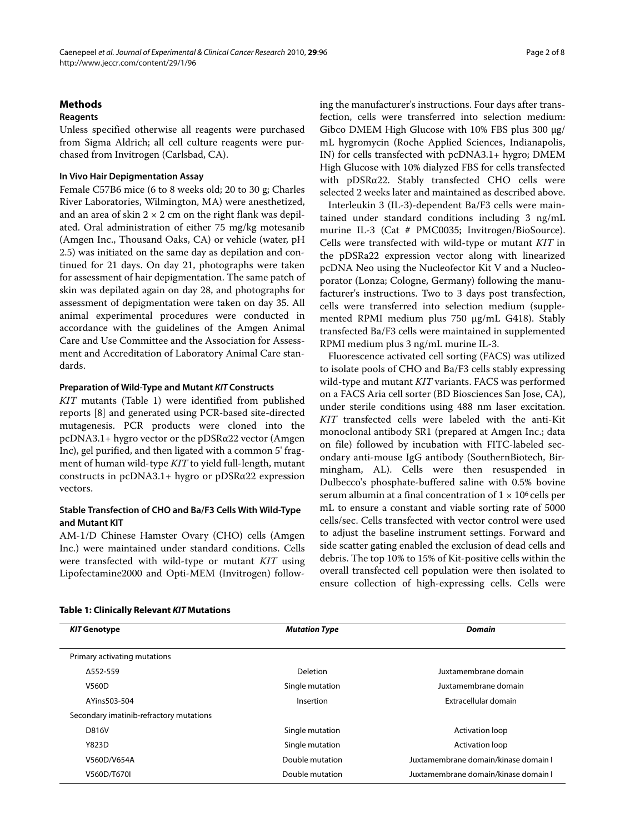## **Methods**

## **Reagents**

Unless specified otherwise all reagents were purchased from Sigma Aldrich; all cell culture reagents were purchased from Invitrogen (Carlsbad, CA).

## **In Vivo Hair Depigmentation Assay**

Female C57B6 mice (6 to 8 weeks old; 20 to 30 g; Charles River Laboratories, Wilmington, MA) were anesthetized, and an area of skin  $2 \times 2$  cm on the right flank was depilated. Oral administration of either 75 mg/kg motesanib (Amgen Inc., Thousand Oaks, CA) or vehicle (water, pH 2.5) was initiated on the same day as depilation and continued for 21 days. On day 21, photographs were taken for assessment of hair depigmentation. The same patch of skin was depilated again on day 28, and photographs for assessment of depigmentation were taken on day 35. All animal experimental procedures were conducted in accordance with the guidelines of the Amgen Animal Care and Use Committee and the Association for Assessment and Accreditation of Laboratory Animal Care standards.

#### **Preparation of Wild-Type and Mutant KIT Constructs**

*KIT* mutants (Table 1) were identified from published reports [[8\]](#page-6-5) and generated using PCR-based site-directed mutagenesis. PCR products were cloned into the pcDNA3.1+ hygro vector or the pDSRα22 vector (Amgen Inc), gel purified, and then ligated with a common 5' fragment of human wild-type *KIT* to yield full-length, mutant constructs in pcDNA3.1+ hygro or pDSRα22 expression vectors.

## **Stable Transfection of CHO and Ba/F3 Cells With Wild-Type and Mutant KIT**

AM-1/D Chinese Hamster Ovary (CHO) cells (Amgen Inc.) were maintained under standard conditions. Cells were transfected with wild-type or mutant *KIT* using Lipofectamine2000 and Opti-MEM (Invitrogen) following the manufacturer's instructions. Four days after transfection, cells were transferred into selection medium: Gibco DMEM High Glucose with 10% FBS plus 300 μg/ mL hygromycin (Roche Applied Sciences, Indianapolis, IN) for cells transfected with pcDNA3.1+ hygro; DMEM High Glucose with 10% dialyzed FBS for cells transfected with pDSRα22. Stably transfected CHO cells were selected 2 weeks later and maintained as described above.

Interleukin 3 (IL-3)-dependent Ba/F3 cells were maintained under standard conditions including 3 ng/mL murine IL-3 (Cat # PMC0035; Invitrogen/BioSource). Cells were transfected with wild-type or mutant *KIT* in the pDSRa22 expression vector along with linearized pcDNA Neo using the Nucleofector Kit V and a Nucleoporator (Lonza; Cologne, Germany) following the manufacturer's instructions. Two to 3 days post transfection, cells were transferred into selection medium (supplemented RPMI medium plus 750 μg/mL G418). Stably transfected Ba/F3 cells were maintained in supplemented RPMI medium plus 3 ng/mL murine IL-3.

Fluorescence activated cell sorting (FACS) was utilized to isolate pools of CHO and Ba/F3 cells stably expressing wild-type and mutant *KIT* variants. FACS was performed on a FACS Aria cell sorter (BD Biosciences San Jose, CA), under sterile conditions using 488 nm laser excitation. *KIT* transfected cells were labeled with the anti-Kit monoclonal antibody SR1 (prepared at Amgen Inc.; data on file) followed by incubation with FITC-labeled secondary anti-mouse IgG antibody (SouthernBiotech, Birmingham, AL). Cells were then resuspended in Dulbecco's phosphate-buffered saline with 0.5% bovine serum albumin at a final concentration of  $1 \times 10^6$  cells per mL to ensure a constant and viable sorting rate of 5000 cells/sec. Cells transfected with vector control were used to adjust the baseline instrument settings. Forward and side scatter gating enabled the exclusion of dead cells and debris. The top 10% to 15% of Kit-positive cells within the overall transfected cell population were then isolated to ensure collection of high-expressing cells. Cells were

| <b>KIT Genotype</b>                     | <b>Mutation Type</b> | Domain                               |  |
|-----------------------------------------|----------------------|--------------------------------------|--|
| Primary activating mutations            |                      |                                      |  |
| A552-559                                | Deletion             | Juxtamembrane domain                 |  |
| V560D                                   | Single mutation      | Juxtamembrane domain                 |  |
| AYins503-504                            | Insertion            | Extracellular domain                 |  |
| Secondary imatinib-refractory mutations |                      |                                      |  |
| D816V                                   | Single mutation      | <b>Activation loop</b>               |  |
| Y823D                                   | Single mutation      | <b>Activation loop</b>               |  |
| V560D/V654A                             | Double mutation      | Juxtamembrane domain/kinase domain I |  |
| V560D/T670I                             | Double mutation      | Juxtamembrane domain/kinase domain I |  |

#### **Table 1: Clinically Relevant KIT Mutations**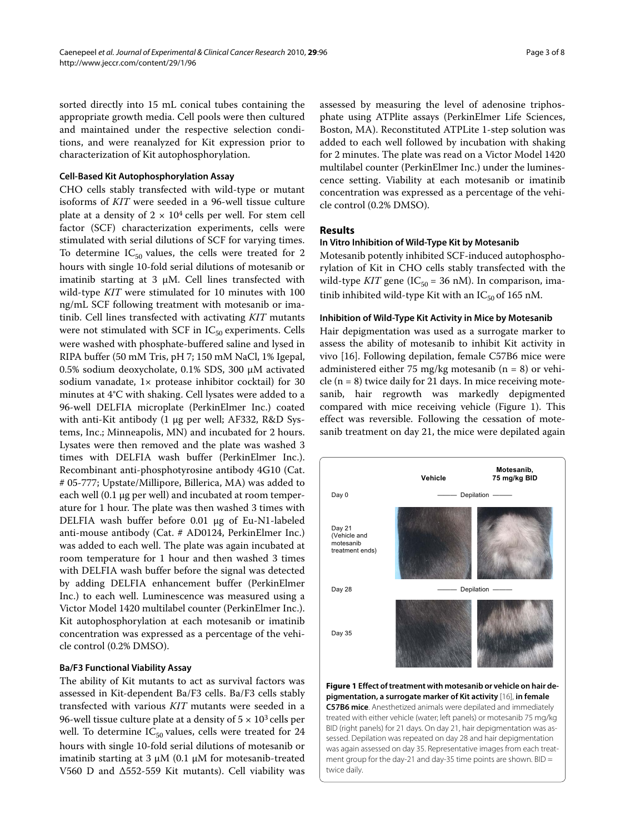sorted directly into 15 mL conical tubes containing the appropriate growth media. Cell pools were then cultured and maintained under the respective selection conditions, and were reanalyzed for Kit expression prior to characterization of Kit autophosphorylation.

#### **Cell-Based Kit Autophosphorylation Assay**

CHO cells stably transfected with wild-type or mutant isoforms of *KIT* were seeded in a 96-well tissue culture plate at a density of  $2 \times 10^4$  cells per well. For stem cell factor (SCF) characterization experiments, cells were stimulated with serial dilutions of SCF for varying times. To determine  $IC_{50}$  values, the cells were treated for 2 hours with single 10-fold serial dilutions of motesanib or imatinib starting at 3  $\mu$ M. Cell lines transfected with wild-type *KIT* were stimulated for 10 minutes with 100 ng/mL SCF following treatment with motesanib or imatinib. Cell lines transfected with activating *KIT* mutants were not stimulated with SCF in  $IC_{50}$  experiments. Cells were washed with phosphate-buffered saline and lysed in RIPA buffer (50 mM Tris, pH 7; 150 mM NaCl, 1% Igepal, 0.5% sodium deoxycholate, 0.1% SDS, 300 μM activated sodium vanadate, 1× protease inhibitor cocktail) for 30 minutes at 4°C with shaking. Cell lysates were added to a 96-well DELFIA microplate (PerkinElmer Inc.) coated with anti-Kit antibody (1 μg per well; AF332, R&D Systems, Inc.; Minneapolis, MN) and incubated for 2 hours. Lysates were then removed and the plate was washed 3 times with DELFIA wash buffer (PerkinElmer Inc.). Recombinant anti-phosphotyrosine antibody 4G10 (Cat. # 05-777; Upstate/Millipore, Billerica, MA) was added to each well (0.1 μg per well) and incubated at room temperature for 1 hour. The plate was then washed 3 times with DELFIA wash buffer before 0.01 μg of Eu-N1-labeled anti-mouse antibody (Cat. # AD0124, PerkinElmer Inc.) was added to each well. The plate was again incubated at room temperature for 1 hour and then washed 3 times with DELFIA wash buffer before the signal was detected by adding DELFIA enhancement buffer (PerkinElmer Inc.) to each well. Luminescence was measured using a Victor Model 1420 multilabel counter (PerkinElmer Inc.). Kit autophosphorylation at each motesanib or imatinib concentration was expressed as a percentage of the vehicle control (0.2% DMSO).

#### **Ba/F3 Functional Viability Assay**

The ability of Kit mutants to act as survival factors was assessed in Kit-dependent Ba/F3 cells. Ba/F3 cells stably transfected with various *KIT* mutants were seeded in a 96-well tissue culture plate at a density of  $5 \times 10^3$  cells per well. To determine  $IC_{50}$  values, cells were treated for 24 hours with single 10-fold serial dilutions of motesanib or imatinib starting at 3 μM (0.1 μM for motesanib-treated V560 D and Δ552-559 Kit mutants). Cell viability was

assessed by measuring the level of adenosine triphosphate using ATPlite assays (PerkinElmer Life Sciences, Boston, MA). Reconstituted ATPLite 1-step solution was added to each well followed by incubation with shaking for 2 minutes. The plate was read on a Victor Model 1420 multilabel counter (PerkinElmer Inc.) under the luminescence setting. Viability at each motesanib or imatinib concentration was expressed as a percentage of the vehicle control (0.2% DMSO).

## **Results**

## **In Vitro Inhibition of Wild-Type Kit by Motesanib**

Motesanib potently inhibited SCF-induced autophosphorylation of Kit in CHO cells stably transfected with the wild-type *KIT* gene ( $IC_{50} = 36$  nM). In comparison, imatinib inhibited wild-type Kit with an  $IC_{50}$  of 165 nM.

## **Inhibition of Wild-Type Kit Activity in Mice by Motesanib**

Hair depigmentation was used as a surrogate marker to assess the ability of motesanib to inhibit Kit activity in vivo [[16\]](#page-6-11). Following depilation, female C57B6 mice were administered either 75 mg/kg motesanib  $(n = 8)$  or vehicle  $(n = 8)$  twice daily for 21 days. In mice receiving motesanib, hair regrowth was markedly depigmented compared with mice receiving vehicle (Figure [1](#page-2-0)). This effect was reversible. Following the cessation of motesanib treatment on day 21, the mice were depilated again

<span id="page-2-0"></span>

**Figure 1 Effect of treatment with motesanib or vehicle on hair depigmentation, a surrogate marker of Kit activity** [\[16](#page-6-11)], **in female C57B6 mice**. Anesthetized animals were depilated and immediately treated with either vehicle (water; left panels) or motesanib 75 mg/kg BID (right panels) for 21 days. On day 21, hair depigmentation was assessed. Depilation was repeated on day 28 and hair depigmentation was again assessed on day 35. Representative images from each treatment group for the day-21 and day-35 time points are shown. BID = twice daily.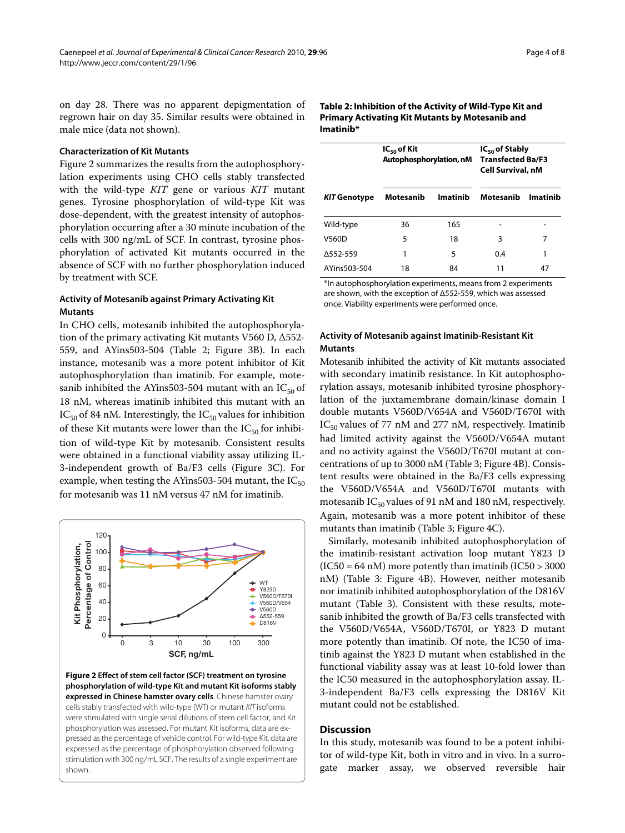on day 28. There was no apparent depigmentation of regrown hair on day 35. Similar results were obtained in male mice (data not shown).

#### **Characterization of Kit Mutants**

Figure [2](#page-3-0) summarizes the results from the autophosphorylation experiments using CHO cells stably transfected with the wild-type *KIT* gene or various *KIT* mutant genes. Tyrosine phosphorylation of wild-type Kit was dose-dependent, with the greatest intensity of autophosphorylation occurring after a 30 minute incubation of the cells with 300 ng/mL of SCF. In contrast, tyrosine phosphorylation of activated Kit mutants occurred in the absence of SCF with no further phosphorylation induced by treatment with SCF.

## **Activity of Motesanib against Primary Activating Kit Mutants**

In CHO cells, motesanib inhibited the autophosphorylation of the primary activating Kit mutants V560 D, Δ552- 559, and AYins503-504 (Table 2; Figure [3](#page-4-0)B). In each instance, motesanib was a more potent inhibitor of Kit autophosphorylation than imatinib. For example, motesanib inhibited the AYins503-504 mutant with an  $IC_{50}$  of 18 nM, whereas imatinib inhibited this mutant with an  $IC_{50}$  of 84 nM. Interestingly, the  $IC_{50}$  values for inhibition of these Kit mutants were lower than the  $IC_{50}$  for inhibition of wild-type Kit by motesanib. Consistent results were obtained in a functional viability assay utilizing IL-3-independent growth of Ba/F3 cells (Figure [3C](#page-4-0)). For example, when testing the AYins503-504 mutant, the  $IC_{50}$ for motesanib was 11 nM versus 47 nM for imatinib.

<span id="page-3-0"></span>

**Figure 2 Effect of stem cell factor (SCF) treatment on tyrosine phosphorylation of wild-type Kit and mutant Kit isoforms stably expressed in Chinese hamster ovary cells**. Chinese hamster ovary cells stably transfected with wild-type (WT) or mutant KIT isoforms were stimulated with single serial dilutions of stem cell factor, and Kit phosphorylation was assessed. For mutant Kit isoforms, data are expressed as the percentage of vehicle control. For wild-type Kit, data are expressed as the percentage of phosphorylation observed following stimulation with 300 ng/mL SCF. The results of a single experiment are shown.

## **Table 2: Inhibition of the Activity of Wild-Type Kit and Primary Activating Kit Mutants by Motesanib and Imatinib\***

| <b>KIT Genotype</b> | $IC_{50}$ of Kit<br>Autophosphorylation, nM |                 | $IC_{50}$ of Stably<br><b>Transfected Ba/F3</b><br><b>Cell Survival, nM</b> |          |
|---------------------|---------------------------------------------|-----------------|-----------------------------------------------------------------------------|----------|
|                     | Motesanib                                   | <b>Imatinib</b> | Motesanib                                                                   | Imatinib |
| Wild-type           | 36                                          | 165             |                                                                             |          |
| <b>V560D</b>        | 5                                           | 18              | 3                                                                           | 7        |
| A552-559            | 1                                           | 5               | 0.4                                                                         | 1        |
| AYins503-504        | 18                                          | 84              | 11                                                                          | 47       |

\*In autophosphorylation experiments, means from 2 experiments are shown, with the exception of Δ552-559, which was assessed once. Viability experiments were performed once.

## **Activity of Motesanib against Imatinib-Resistant Kit Mutants**

Motesanib inhibited the activity of Kit mutants associated with secondary imatinib resistance. In Kit autophosphorylation assays, motesanib inhibited tyrosine phosphorylation of the juxtamembrane domain/kinase domain I double mutants V560D/V654A and V560D/T670I with IC<sub>50</sub> values of 77 nM and 277 nM, respectively. Imatinib had limited activity against the V560D/V654A mutant and no activity against the V560D/T670I mutant at concentrations of up to 3000 nM (Table 3; Figure [4B](#page-5-0)). Consistent results were obtained in the Ba/F3 cells expressing the V560D/V654A and V560D/T670I mutants with motesanib  $IC_{50}$  values of 91 nM and 180 nM, respectively. Again, motesanib was a more potent inhibitor of these mutants than imatinib (Table 3; Figure [4C](#page-5-0)).

Similarly, motesanib inhibited autophosphorylation of the imatinib-resistant activation loop mutant Y823 D  $(IC50 = 64 \text{ nM})$  more potently than imatinib  $(IC50 > 3000$ nM) (Table 3: Figure [4B](#page-5-0)). However, neither motesanib nor imatinib inhibited autophosphorylation of the D816V mutant (Table 3). Consistent with these results, motesanib inhibited the growth of Ba/F3 cells transfected with the V560D/V654A, V560D/T670I, or Y823 D mutant more potently than imatinib. Of note, the IC50 of imatinib against the Y823 D mutant when established in the functional viability assay was at least 10-fold lower than the IC50 measured in the autophosphorylation assay. IL-3-independent Ba/F3 cells expressing the D816V Kit mutant could not be established.

### **Discussion**

In this study, motesanib was found to be a potent inhibitor of wild-type Kit, both in vitro and in vivo. In a surrogate marker assay, we observed reversible hair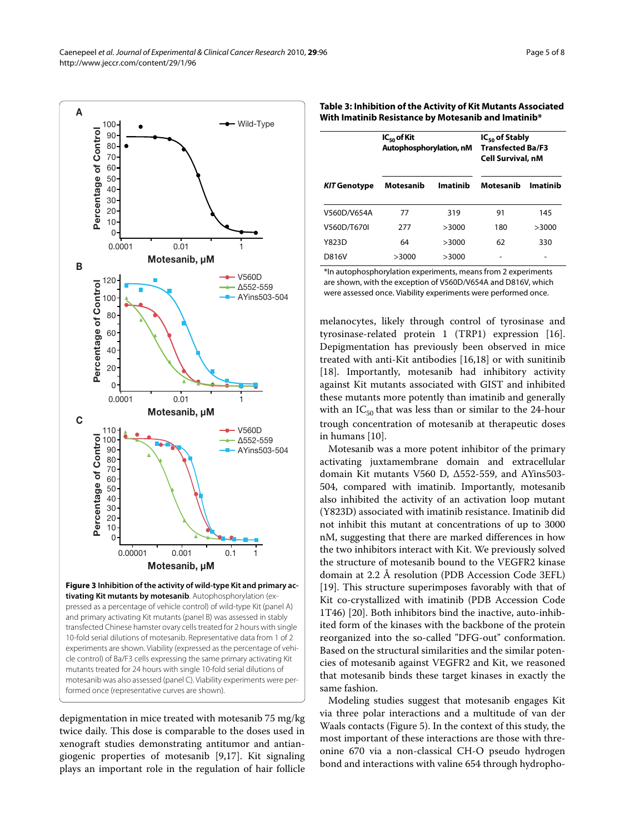<span id="page-4-0"></span>

**tivating Kit mutants by motesanib**. Autophosphorylation (expressed as a percentage of vehicle control) of wild-type Kit (panel A) and primary activating Kit mutants (panel B) was assessed in stably transfected Chinese hamster ovary cells treated for 2 hours with single 10-fold serial dilutions of motesanib. Representative data from 1 of 2 experiments are shown. Viability (expressed as the percentage of vehicle control) of Ba/F3 cells expressing the same primary activating Kit mutants treated for 24 hours with single 10-fold serial dilutions of motesanib was also assessed (panel C). Viability experiments were performed once (representative curves are shown).

depigmentation in mice treated with motesanib 75 mg/kg twice daily. This dose is comparable to the doses used in xenograft studies demonstrating antitumor and antiangiogenic properties of motesanib [\[9](#page-6-6),[17](#page-6-12)]. Kit signaling plays an important role in the regulation of hair follicle

| Table 3: Inhibition of the Activity of Kit Mutants Associated |
|---------------------------------------------------------------|
| With Imatinib Resistance by Motesanib and Imatinib*           |

| $IC_{50}$ of Kit<br>Autophosphorylation, nM |          | $IC_{50}$ of Stably<br><b>Transfected Ba/F3</b><br><b>Cell Survival, nM</b> |          |
|---------------------------------------------|----------|-----------------------------------------------------------------------------|----------|
| Motesanib                                   | Imatinib | Motesanib                                                                   | Imatinib |
| 77                                          | 319      | 91                                                                          | 145      |
| 277                                         | >3000    | 180                                                                         | >3000    |
| 64                                          | >3000    | 62                                                                          | 330      |
| >3000                                       | >3000    |                                                                             |          |
|                                             |          |                                                                             |          |

\*In autophosphorylation experiments, means from 2 experiments are shown, with the exception of V560D/V654A and D816V, which were assessed once. Viability experiments were performed once.

melanocytes, likely through control of tyrosinase and tyrosinase-related protein 1 (TRP1) expression [\[16](#page-6-11)]. Depigmentation has previously been observed in mice treated with anti-Kit antibodies [\[16](#page-6-11)[,18](#page-6-13)] or with sunitinib [[18\]](#page-6-13). Importantly, motesanib had inhibitory activity against Kit mutants associated with GIST and inhibited these mutants more potently than imatinib and generally with an  $IC_{50}$  that was less than or similar to the 24-hour trough concentration of motesanib at therapeutic doses in humans [\[10\]](#page-6-7).

Motesanib was a more potent inhibitor of the primary activating juxtamembrane domain and extracellular domain Kit mutants V560 D, Δ552-559, and AYins503- 504, compared with imatinib. Importantly, motesanib also inhibited the activity of an activation loop mutant (Y823D) associated with imatinib resistance. Imatinib did not inhibit this mutant at concentrations of up to 3000 nM, suggesting that there are marked differences in how the two inhibitors interact with Kit. We previously solved the structure of motesanib bound to the VEGFR2 kinase domain at 2.2 Å resolution (PDB Accession Code 3EFL) [[19\]](#page-6-14). This structure superimposes favorably with that of Kit co-crystallized with imatinib (PDB Accession Code 1T46) [\[20](#page-6-15)]. Both inhibitors bind the inactive, auto-inhibited form of the kinases with the backbone of the protein reorganized into the so-called "DFG-out" conformation. Based on the structural similarities and the similar potencies of motesanib against VEGFR2 and Kit, we reasoned that motesanib binds these target kinases in exactly the same fashion.

Modeling studies suggest that motesanib engages Kit via three polar interactions and a multitude of van der Waals contacts (Figure [5\)](#page-5-1). In the context of this study, the most important of these interactions are those with threonine 670 via a non-classical CH-O pseudo hydrogen bond and interactions with valine 654 through hydropho-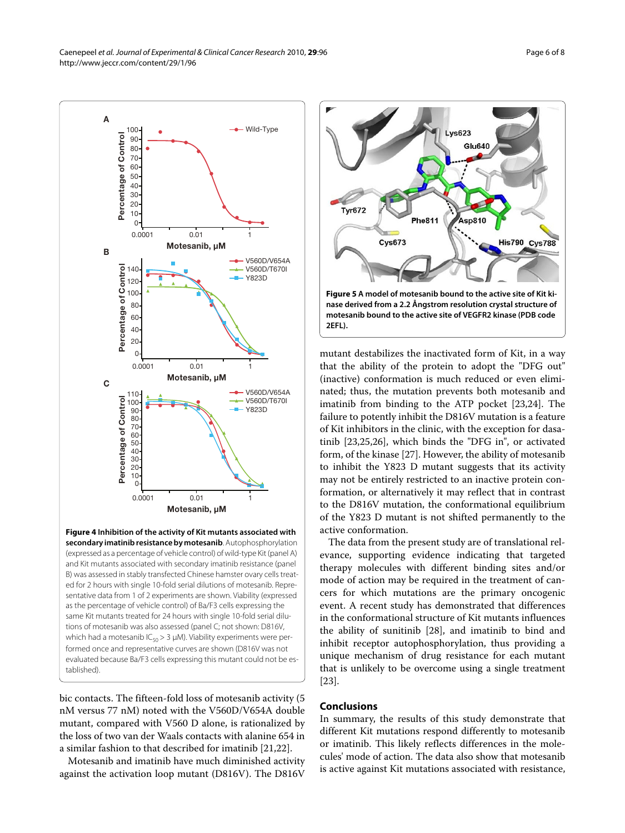Caenepeel et al. Journal of Experimental & Clinical Cancer Research 2010, **29**:96 http://www.jeccr.com/content/29/1/96

<span id="page-5-0"></span>

**Figure 4 Inhibition of the activity of Kit mutants associated with secondary imatinib resistance by motesanib**. Autophosphorylation (expressed as a percentage of vehicle control) of wild-type Kit (panel A) and Kit mutants associated with secondary imatinib resistance (panel B) was assessed in stably transfected Chinese hamster ovary cells treated for 2 hours with single 10-fold serial dilutions of motesanib. Representative data from 1 of 2 experiments are shown. Viability (expressed as the percentage of vehicle control) of Ba/F3 cells expressing the same Kit mutants treated for 24 hours with single 10-fold serial dilutions of motesanib was also assessed (panel C; not shown: D816V, which had a motesanib  $IC_{50} > 3 \mu M$ ). Viability experiments were performed once and representative curves are shown (D816V was not evaluated because Ba/F3 cells expressing this mutant could not be established).

bic contacts. The fifteen-fold loss of motesanib activity (5 nM versus 77 nM) noted with the V560D/V654A double mutant, compared with V560 D alone, is rationalized by the loss of two van der Waals contacts with alanine 654 in a similar fashion to that described for imatinib [\[21](#page-6-16)[,22](#page-6-17)].

Motesanib and imatinib have much diminished activity against the activation loop mutant (D816V). The D816V

<span id="page-5-1"></span>

mutant destabilizes the inactivated form of Kit, in a way that the ability of the protein to adopt the "DFG out" (inactive) conformation is much reduced or even eliminated; thus, the mutation prevents both motesanib and imatinib from binding to the ATP pocket [[23,](#page-6-18)[24\]](#page-7-0). The failure to potently inhibit the D816V mutation is a feature of Kit inhibitors in the clinic, with the exception for dasatinib [[23,](#page-6-18)[25,](#page-7-1)[26\]](#page-7-2), which binds the "DFG in", or activated form, of the kinase [[27](#page-7-3)]. However, the ability of motesanib to inhibit the Y823 D mutant suggests that its activity may not be entirely restricted to an inactive protein conformation, or alternatively it may reflect that in contrast to the D816V mutation, the conformational equilibrium of the Y823 D mutant is not shifted permanently to the active conformation.

The data from the present study are of translational relevance, supporting evidence indicating that targeted therapy molecules with different binding sites and/or mode of action may be required in the treatment of cancers for which mutations are the primary oncogenic event. A recent study has demonstrated that differences in the conformational structure of Kit mutants influences the ability of sunitinib [[28\]](#page-7-4), and imatinib to bind and inhibit receptor autophosphorylation, thus providing a unique mechanism of drug resistance for each mutant that is unlikely to be overcome using a single treatment [[23\]](#page-6-18).

## **Conclusions**

In summary, the results of this study demonstrate that different Kit mutations respond differently to motesanib or imatinib. This likely reflects differences in the molecules' mode of action. The data also show that motesanib is active against Kit mutations associated with resistance,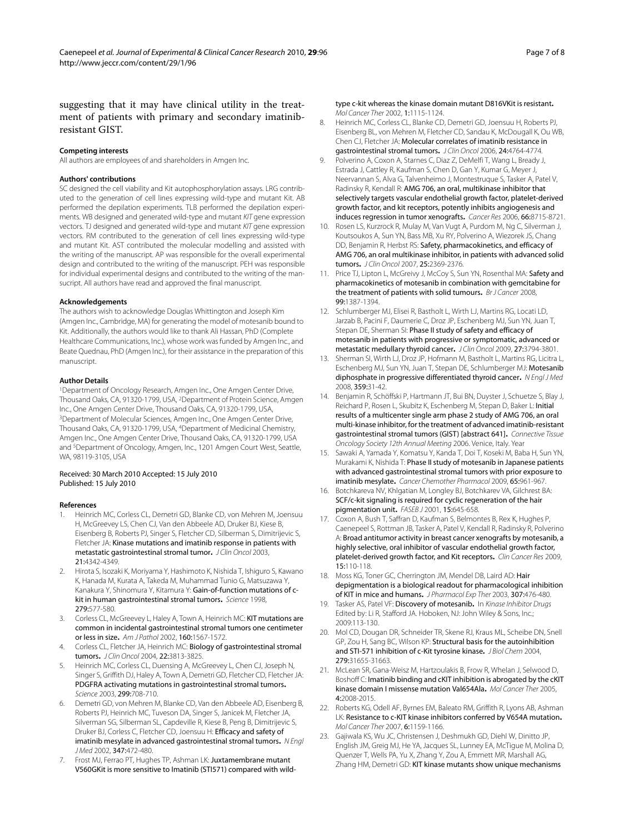Page 7 of 8

suggesting that it may have clinical utility in the treatment of patients with primary and secondary imatinibresistant GIST.

#### **Competing interests**

All authors are employees of and shareholders in Amgen Inc.

#### **Authors' contributions**

SC designed the cell viability and Kit autophosphorylation assays. LRG contributed to the generation of cell lines expressing wild-type and mutant Kit. AB performed the depilation experiments. TLB performed the depilation experiments. WB designed and generated wild-type and mutant KIT gene expression vectors. TJ designed and generated wild-type and mutant KIT gene expression vectors. RM contributed to the generation of cell lines expressing wild-type and mutant Kit. AST contributed the molecular modelling and assisted with the writing of the manuscript. AP was responsible for the overall experimental design and contributed to the writing of the manuscript. PEH was responsible for individual experimental designs and contributed to the writing of the mansucript. All authors have read and approved the final manuscript.

#### **Acknowledgements**

The authors wish to acknowledge Douglas Whittington and Joseph Kim (Amgen Inc., Cambridge, MA) for generating the model of motesanib bound to Kit. Additionally, the authors would like to thank Ali Hassan, PhD (Complete Healthcare Communications, Inc.), whose work was funded by Amgen Inc., and Beate Quednau, PhD (Amgen Inc.), for their assistance in the preparation of this manuscript.

#### **Author Details**

1Department of Oncology Research, Amgen Inc., One Amgen Center Drive, Thousand Oaks, CA, 91320-1799, USA, 2Department of Protein Science, Amgen Inc., One Amgen Center Drive, Thousand Oaks, CA, 91320-1799, USA, 3Department of Molecular Sciences, Amgen Inc., One Amgen Center Drive, Thousand Oaks, CA, 91320-1799, USA, 4Department of Medicinal Chemistry, Amgen Inc., One Amgen Center Drive, Thousand Oaks, CA, 91320-1799, USA and <sup>5</sup>Department of Oncology, Amgen, Inc., 1201 Amgen Court West, Seattle, WA, 98119-3105, USA

#### Received: 30 March 2010 Accepted: 15 July 2010 Published: 15 July 2010

#### **References**

- <span id="page-6-0"></span>1. Heinrich MC, Corless CL, Demetri GD, Blanke CD, von Mehren M, Joensuu H, McGreevey LS, Chen CJ, Van den Abbeele AD, Druker BJ, Kiese B, Eisenberg B, Roberts PJ, Singer S, Fletcher CD, Silberman S, Dimitrijevic S, Fletcher JA: Kinase mutations and imatinib response in patients with metastatic gastrointestinal stromal tumor**.** J Clin Oncol 2003, 21:4342-4349.
- 2. Hirota S, Isozaki K, Moriyama Y, Hashimoto K, Nishida T, Ishiguro S, Kawano K, Hanada M, Kurata A, Takeda M, Muhammad Tunio G, Matsuzawa Y, Kanakura Y, Shinomura Y, Kitamura Y: Gain-of-function mutations of ckit in human gastrointestinal stromal tumors**.** Science 1998, 279:577-580.
- 3. Corless CL, McGreevey L, Haley A, Town A, Heinrich MC: KIT mutations are common in incidental gastrointestinal stromal tumors one centimeter or less in size**.** Am J Pathol 2002, 160:1567-1572.
- <span id="page-6-1"></span>4. Corless CL, Fletcher JA, Heinrich MC: Biology of gastrointestinal stromal tumors**.** J Clin Oncol 2004, 22:3813-3825.
- <span id="page-6-2"></span>Heinrich MC, Corless CL, Duensing A, McGreevey L, Chen CJ, Joseph N, Singer S, Griffith DJ, Haley A, Town A, Demetri GD, Fletcher CD, Fletcher JA: PDGFRA activating mutations in gastrointestinal stromal tumors**.** Science 2003, 299:708-710.
- <span id="page-6-3"></span>6. Demetri GD, von Mehren M, Blanke CD, Van den Abbeele AD, Eisenberg B, Roberts PJ, Heinrich MC, Tuveson DA, Singer S, Janicek M, Fletcher JA, Silverman SG, Silberman SL, Capdeville R, Kiese B, Peng B, Dimitrijevic S, Druker BJ, Corless C, Fletcher CD, Joensuu H: Efficacy and safety of imatinib mesylate in advanced gastrointestinal stromal tumors**.** N Engl J Med 2002, 347:472-480.
- <span id="page-6-4"></span>7. Frost MJ, Ferrao PT, Hughes TP, Ashman LK: Juxtamembrane mutant V560GKit is more sensitive to Imatinib (STI571) compared with wild-

type c-kit whereas the kinase domain mutant D816VKit is resistant**.** Mol Cancer Ther 2002, 1:1115-1124.

- <span id="page-6-5"></span>8. Heinrich MC, Corless CL, Blanke CD, Demetri GD, Joensuu H, Roberts PJ, Eisenberg BL, von Mehren M, Fletcher CD, Sandau K, McDougall K, Ou WB, Chen CJ, Fletcher JA: Molecular correlates of imatinib resistance in gastrointestinal stromal tumors**[.](http://www.ncbi.nlm.nih.gov/entrez/query.fcgi?cmd=Retrieve&db=PubMed&dopt=Abstract&list_uids=16954519)** J Clin Oncol 2006, 24:4764-4774.
- <span id="page-6-6"></span>9. Polverino A, Coxon A, Starnes C, Diaz Z, DeMelfi T, Wang L, Bready J, Estrada J, Cattley R, Kaufman S, Chen D, Gan Y, Kumar G, Meyer J, Neervannan S, Alva G, Talvenheimo J, Montestruque S, Tasker A, Patel V, Radinsky R, Kendall R: AMG 706, an oral, multikinase inhibitor that selectively targets vascular endothelial growth factor, platelet-derived growth factor, and kit receptors, potently inhibits angiogenesis and induces regression in tumor xenografts**.** Cancer Res 2006, 66:8715-8721.
- <span id="page-6-7"></span>10. Rosen LS, Kurzrock R, Mulay M, Van Vugt A, Purdom M, Ng C, Silverman J, Koutsoukos A, Sun YN, Bass MB, Xu RY, Polverino A, Wiezorek JS, Chang DD. Beniamin R, Herbst RS: Safety, pharmacokinetics, and efficacy of AMG 706, an oral multikinase inhibitor, in patients with advanced solid tumors**.** J Clin Oncol 2007, 25:2369-2376.
- 11. Price TJ, Lipton L, McGreivy J, McCoy S, Sun YN, Rosenthal MA: Safety and pharmacokinetics of motesanib in combination with gemcitabine for the treatment of patients with solid tumours**.** Br J Cancer 2008, 99:1387-1394.
- 12. Schlumberger MJ, Elisei R, Bastholt L, Wirth LJ, Martins RG, Locati LD, Jarzab B, Pacini F, Daumerie C, Droz JP, Eschenberg MJ, Sun YN, Juan T, Stepan DE, Sherman SI: Phase II study of safety and efficacy of motesanib in patients with progressive or symptomatic, advanced or metastatic medullary thyroid cancer**.** J Clin Oncol 2009, 27:3794-3801.
- <span id="page-6-8"></span>13. Sherman SI, Wirth LJ, Droz JP, Hofmann M, Bastholt L, Martins RG, Licitra L, Eschenberg MJ, Sun YN, Juan T, Stepan DE, Schlumberger MJ: Motesanib diphosphate in progressive differentiated thyroid cancer**.** N Engl J Med 2008, 359:31-42.
- <span id="page-6-9"></span>14. Benjamin R, Schöffski P, Hartmann JT, Bui BN, Duyster J, Schuetze S, Blay J, Reichard P, Rosen L, Skubitz K, Eschenberg M, Stepan D, Baker L: Initial results of a multicenter single arm phase 2 study of AMG 706, an oral multi-kinase inhibitor, for the treatment of advanced imatinib-resistant gastrointestinal stromal tumors (GIST) [abstract 641]**.** Connective Tissue Oncology Society 12th Annual Meeting 2006. Venice, Italy. Year
- <span id="page-6-10"></span>15. Sawaki A, Yamada Y, Komatsu Y, Kanda T, Doi T, Koseki M, Baba H, Sun YN, Murakami K, Nishida T: Phase II study of motesanib in Japanese patients with advanced gastrointestinal stromal tumors with prior exposure to imatinib mesylate**[.](http://www.ncbi.nlm.nih.gov/entrez/query.fcgi?cmd=Retrieve&db=PubMed&dopt=Abstract&list_uids=19690858)** Cancer Chemother Pharmacol 2009, 65:961-967.
- <span id="page-6-11"></span>16. Botchkareva NV, Khlgatian M, Longley BJ, Botchkarev VA, Gilchrest BA: SCF/c-kit signaling is required for cyclic regeneration of the hair pigmentation unit**.** FASEB J 2001, 15:645-658.
- <span id="page-6-12"></span>17. Coxon A, Bush T, Saffran D, Kaufman S, Belmontes B, Rex K, Hughes P, Caenepeel S, Rottman JB, Tasker A, Patel V, Kendall R, Radinsky R, Polverino A: Broad antitumor activity in breast cancer xenografts by motesanib, a highly selective, oral inhibitor of vascular endothelial growth factor, platelet-derived growth factor, and Kit receptors**.** Clin Cancer Res 2009, 15:110-118.
- <span id="page-6-13"></span>18. Moss KG, Toner GC, Cherrington JM, Mendel DB, Laird AD: Hair depigmentation is a biological readout for pharmacological inhibition of KIT in mice and humans**.** J Pharmacol Exp Ther 2003, 307:476-480.
- <span id="page-6-14"></span>19. Tasker AS, Patel VF: Discovery of motesanib**.** In Kinase Inhibitor Drugs Edited by: Li R, Stafford JA. Hoboken, NJ: John Wiley & Sons, Inc.; 2009:113-130.
- <span id="page-6-15"></span>20. Mol CD, Dougan DR, Schneider TR, Skene RJ, Kraus ML, Scheibe DN, Snell GP, Zou H, Sang BC, Wilson KP: Structural basis for the autoinhibition and STI-571 inhibition of c-Kit tyrosine kinase**.** J Biol Chem 2004, 279:31655-31663.
- <span id="page-6-16"></span>21. McLean SR, Gana-Weisz M, Hartzoulakis B, Frow R, Whelan J, Selwood D, Boshoff C: Imatinib binding and cKIT inhibition is abrogated by the cKIT kinase domain I missense mutation Val654Ala**.** Mol Cancer Ther 2005, 4:2008-2015.
- <span id="page-6-17"></span>22. Roberts KG, Odell AF, Byrnes EM, Baleato RM, Griffith R, Lyons AB, Ashman LK: Resistance to c-KIT kinase inhibitors conferred by V654A mutation**[.](http://www.ncbi.nlm.nih.gov/entrez/query.fcgi?cmd=Retrieve&db=PubMed&dopt=Abstract&list_uids=17363509)** Mol Cancer Ther 2007, 6:1159-1166.
- <span id="page-6-18"></span>23. Gajiwala KS, Wu JC, Christensen J, Deshmukh GD, Diehl W, Dinitto JP, English JM, Greig MJ, He YA, Jacques SL, Lunney EA, McTigue M, Molina D, Quenzer T, Wells PA, Yu X, Zhang Y, Zou A, Emmett MR, Marshall AG, Zhang HM, Demetri GD; KIT kinase mutants show unique mechanisms